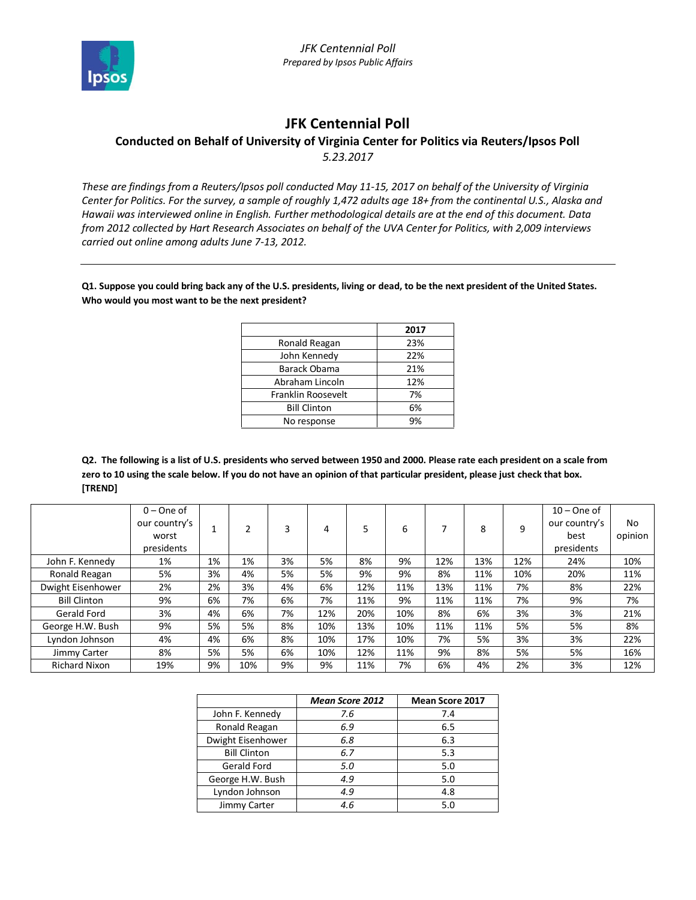

## **JFK Centennial Poll**

## **Conducted on Behalf of University of Virginia Center for Politics via Reuters/Ipsos Poll** *5.23.2017*

*These are findings from a Reuters/Ipsos poll conducted May 11-15, 2017 on behalf of the University of Virginia Center for Politics. For the survey, a sample of roughly 1,472 adults age 18+ from the continental U.S., Alaska and Hawaii was interviewed online in English. Further methodological details are at the end of this document. Data from 2012 collected by Hart Research Associates on behalf of the UVA Center for Politics, with 2,009 interviews carried out online among adults June 7-13, 2012.*

**Q1. Suppose you could bring back any of the U.S. presidents, living or dead, to be the next president of the United States. Who would you most want to be the next president?**

|                     | 2017      |
|---------------------|-----------|
| Ronald Reagan       | 23%       |
| John Kennedy        | 22%       |
| Barack Obama        | 21%       |
| Abraham Lincoln     | 12%       |
| Franklin Roosevelt  | 7%        |
| <b>Bill Clinton</b> | 6%        |
| No response         | <b>9%</b> |

**Q2. The following is a list of U.S. presidents who served between 1950 and 2000. Please rate each president on a scale from zero to 10 using the scale below. If you do not have an opinion of that particular president, please just check that box. [TREND]**

|                      | $0 - One of$  |    |     |    |     |     |     |                          |     |     | $10 -$ One of |         |
|----------------------|---------------|----|-----|----|-----|-----|-----|--------------------------|-----|-----|---------------|---------|
|                      | our country's |    |     |    | 4   | 5   | 6   | $\overline{\phantom{a}}$ | 8   | q   | our country's | No      |
|                      | worst         |    |     |    |     |     |     |                          |     |     | best          | opinion |
|                      | presidents    |    |     |    |     |     |     |                          |     |     | presidents    |         |
| John F. Kennedy      | 1%            | 1% | 1%  | 3% | 5%  | 8%  | 9%  | 12%                      | 13% | 12% | 24%           | 10%     |
| Ronald Reagan        | 5%            | 3% | 4%  | 5% | 5%  | 9%  | 9%  | 8%                       | 11% | 10% | 20%           | 11%     |
| Dwight Eisenhower    | 2%            | 2% | 3%  | 4% | 6%  | 12% | 11% | 13%                      | 11% | 7%  | 8%            | 22%     |
| <b>Bill Clinton</b>  | 9%            | 6% | 7%  | 6% | 7%  | 11% | 9%  | 11%                      | 11% | 7%  | 9%            | 7%      |
| Gerald Ford          | 3%            | 4% | 6%  | 7% | 12% | 20% | 10% | 8%                       | 6%  | 3%  | 3%            | 21%     |
| George H.W. Bush     | 9%            | 5% | 5%  | 8% | 10% | 13% | 10% | 11%                      | 11% | 5%  | 5%            | 8%      |
| Lyndon Johnson       | 4%            | 4% | 6%  | 8% | 10% | 17% | 10% | 7%                       | 5%  | 3%  | 3%            | 22%     |
| Jimmy Carter         | 8%            | 5% | 5%  | 6% | 10% | 12% | 11% | 9%                       | 8%  | 5%  | 5%            | 16%     |
| <b>Richard Nixon</b> | 19%           | 9% | 10% | 9% | 9%  | 11% | 7%  | 6%                       | 4%  | 2%  | 3%            | 12%     |

|                     | <b>Mean Score 2012</b> | <b>Mean Score 2017</b> |
|---------------------|------------------------|------------------------|
| John F. Kennedy     | 7.6                    | 7.4                    |
| Ronald Reagan       | 6.9                    | 6.5                    |
| Dwight Eisenhower   | 6.8                    | 6.3                    |
| <b>Bill Clinton</b> | 6.7                    | 5.3                    |
| Gerald Ford         | 5.0                    | 5.0                    |
| George H.W. Bush    | 4.9                    | 5.0                    |
| Lyndon Johnson      | 4.9                    | 4.8                    |
| Jimmy Carter        | 4.6                    | 5.0                    |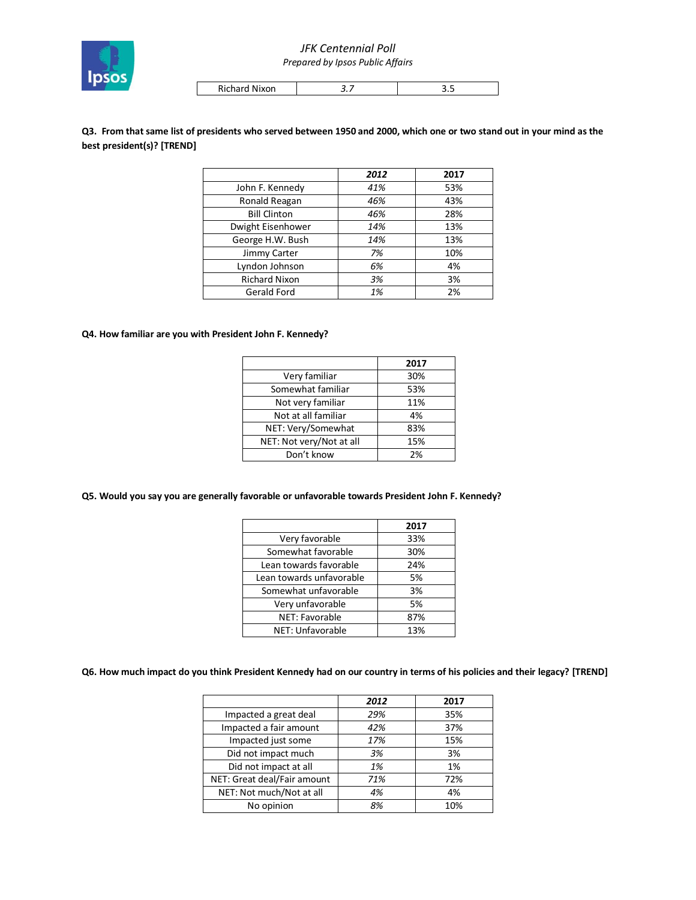

# *JFK Centennial Poll*

*Prepared by Ipsos Public Affairs*

| Richard Nixon | - | . |
|---------------|---|---|

**Q3. From that same list of presidents who served between 1950 and 2000, which one or two stand out in your mind as the best president(s)? [TREND]**

|                      | 2012 | 2017 |
|----------------------|------|------|
| John F. Kennedy      | 41%  | 53%  |
| Ronald Reagan        | 46%  | 43%  |
| <b>Bill Clinton</b>  | 46%  | 28%  |
| Dwight Eisenhower    | 14%  | 13%  |
| George H.W. Bush     | 14%  | 13%  |
| Jimmy Carter         | 7%   | 10%  |
| Lyndon Johnson       | 6%   | 4%   |
| <b>Richard Nixon</b> | 3%   | 3%   |
| Gerald Ford          | 1%   | 2%   |

#### **Q4. How familiar are you with President John F. Kennedy?**

|                          | 2017 |
|--------------------------|------|
| Very familiar            | 30%  |
| Somewhat familiar        | 53%  |
| Not very familiar        | 11%  |
| Not at all familiar      | 4%   |
| NET: Very/Somewhat       | 83%  |
| NET: Not very/Not at all | 15%  |
| Don't know               | 2%   |

#### **Q5. Would you say you are generally favorable or unfavorable towards President John F. Kennedy?**

|                          | 2017 |
|--------------------------|------|
| Very favorable           | 33%  |
| Somewhat favorable       | 30%  |
| Lean towards favorable   | 24%  |
| Lean towards unfavorable | 5%   |
| Somewhat unfavorable     | 3%   |
| Very unfavorable         | 5%   |
| NET: Favorable           | 87%  |
| NET: Unfavorable         | 13%  |

#### **Q6. How much impact do you think President Kennedy had on our country in terms of his policies and their legacy? [TREND]**

|                             | 2012 | 2017 |
|-----------------------------|------|------|
| Impacted a great deal       | 29%  | 35%  |
| Impacted a fair amount      | 42%  | 37%  |
| Impacted just some          | 17%  | 15%  |
| Did not impact much         | 3%   | 3%   |
| Did not impact at all       | 1%   | 1%   |
| NET: Great deal/Fair amount | 71%  | 72%  |
| NET: Not much/Not at all    | 4%   | 4%   |
| No opinion                  | 8%   | 10%  |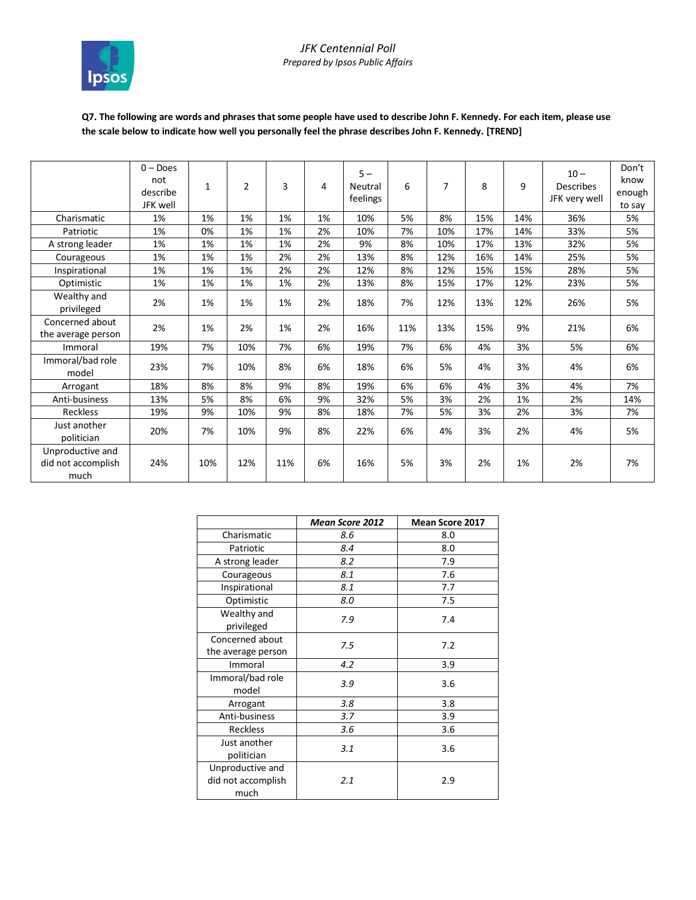

## **Q7. The following are words and phrases that some people have used to describe John F. Kennedy. For each item, please use the scale below to indicate how well you personally feel the phrase describes John F. Kennedy. [TREND]**

|                                                | $0 - Does$<br>not<br>describe<br>JFK well | $\mathbf{1}$ | 2   | 3   | 4  | $5 -$<br>Neutral<br>feelings | 6   | 7   | 8   | 9   | $10 -$<br>Describes<br>JFK very well | Don't<br>know<br>enough<br>to say |
|------------------------------------------------|-------------------------------------------|--------------|-----|-----|----|------------------------------|-----|-----|-----|-----|--------------------------------------|-----------------------------------|
| Charismatic                                    | 1%                                        | 1%           | 1%  | 1%  | 1% | 10%                          | 5%  | 8%  | 15% | 14% | 36%                                  | 5%                                |
| Patriotic                                      | 1%                                        | 0%           | 1%  | 1%  | 2% | 10%                          | 7%  | 10% | 17% | 14% | 33%                                  | 5%                                |
| A strong leader                                | 1%                                        | 1%           | 1%  | 1%  | 2% | 9%                           | 8%  | 10% | 17% | 13% | 32%                                  | 5%                                |
| Courageous                                     | 1%                                        | 1%           | 1%  | 2%  | 2% | 13%                          | 8%  | 12% | 16% | 14% | 25%                                  | 5%                                |
| Inspirational                                  | 1%                                        | 1%           | 1%  | 2%  | 2% | 12%                          | 8%  | 12% | 15% | 15% | 28%                                  | 5%                                |
| Optimistic                                     | 1%                                        | 1%           | 1%  | 1%  | 2% | 13%                          | 8%  | 15% | 17% | 12% | 23%                                  | 5%                                |
| Wealthy and<br>privileged                      | 2%                                        | 1%           | 1%  | 1%  | 2% | 18%                          | 7%  | 12% | 13% | 12% | 26%                                  | 5%                                |
| Concerned about<br>the average person          | 2%                                        | 1%           | 2%  | 1%  | 2% | 16%                          | 11% | 13% | 15% | 9%  | 21%                                  | 6%                                |
| Immoral                                        | 19%                                       | 7%           | 10% | 7%  | 6% | 19%                          | 7%  | 6%  | 4%  | 3%  | 5%                                   | 6%                                |
| Immoral/bad role<br>model                      | 23%                                       | 7%           | 10% | 8%  | 6% | 18%                          | 6%  | 5%  | 4%  | 3%  | 4%                                   | 6%                                |
| Arrogant                                       | 18%                                       | 8%           | 8%  | 9%  | 8% | 19%                          | 6%  | 6%  | 4%  | 3%  | 4%                                   | 7%                                |
| Anti-business                                  | 13%                                       | 5%           | 8%  | 6%  | 9% | 32%                          | 5%  | 3%  | 2%  | 1%  | 2%                                   | 14%                               |
| <b>Reckless</b>                                | 19%                                       | 9%           | 10% | 9%  | 8% | 18%                          | 7%  | 5%  | 3%  | 2%  | 3%                                   | 7%                                |
| Just another<br>politician                     | 20%                                       | 7%           | 10% | 9%  | 8% | 22%                          | 6%  | 4%  | 3%  | 2%  | 4%                                   | 5%                                |
| Unproductive and<br>did not accomplish<br>much | 24%                                       | 10%          | 12% | 11% | 6% | 16%                          | 5%  | 3%  | 2%  | 1%  | 2%                                   | 7%                                |

|                                                | <b>Mean Score 2012</b> | <b>Mean Score 2017</b> |
|------------------------------------------------|------------------------|------------------------|
| Charismatic                                    | 8.6                    | 8.0                    |
| Patriotic                                      | 8.4                    | 8.0                    |
| A strong leader                                | 8.2                    | 7.9                    |
| Courageous                                     | 8.1                    | 7.6                    |
| Inspirational                                  | 8.1                    | 7.7                    |
| Optimistic                                     | 8.0                    | 7.5                    |
| Wealthy and<br>privileged                      | 7.9                    | 7.4                    |
| Concerned about<br>the average person          | 7.5                    | 7.2                    |
| Immoral                                        | 4.2                    | 3.9                    |
| Immoral/bad role<br>model                      | 3.9                    | 3.6                    |
| Arrogant                                       | 3.8                    | 3.8                    |
| Anti-business                                  | 3.7                    | 3.9                    |
| <b>Reckless</b>                                | 3.6                    | 3.6                    |
| Just another<br>politician                     | 3.1                    | 3.6                    |
| Unproductive and<br>did not accomplish<br>much | 2.1                    | 2.9                    |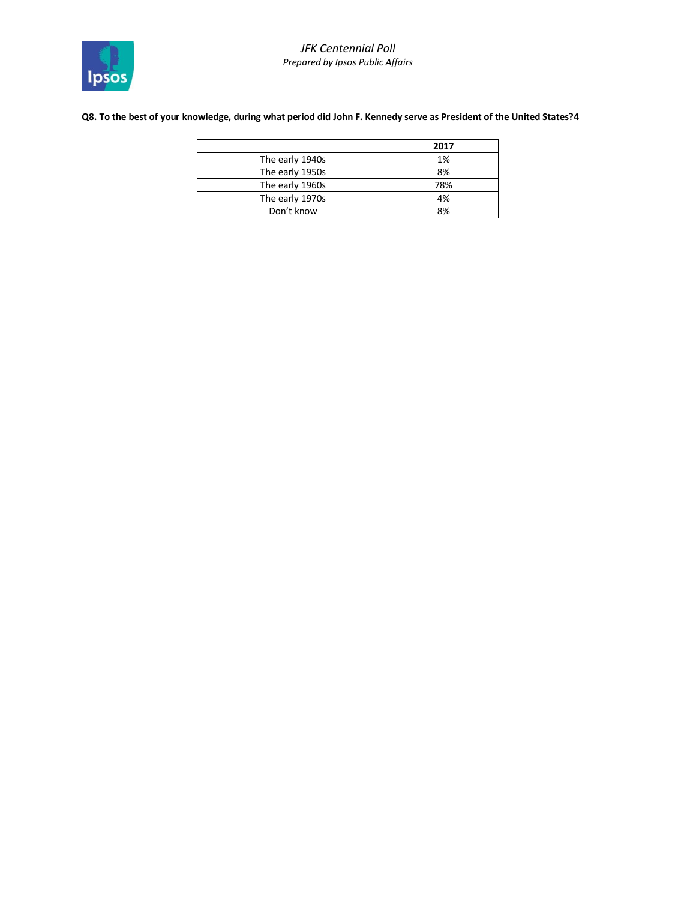## **Q8. To the best of your knowledge, during what period did John F. Kennedy serve as President of the United States?4**

|                 | 2017 |
|-----------------|------|
| The early 1940s | 1%   |
| The early 1950s | 8%   |
| The early 1960s | 78%  |
| The early 1970s | 4%   |
| Don't know      | 8%   |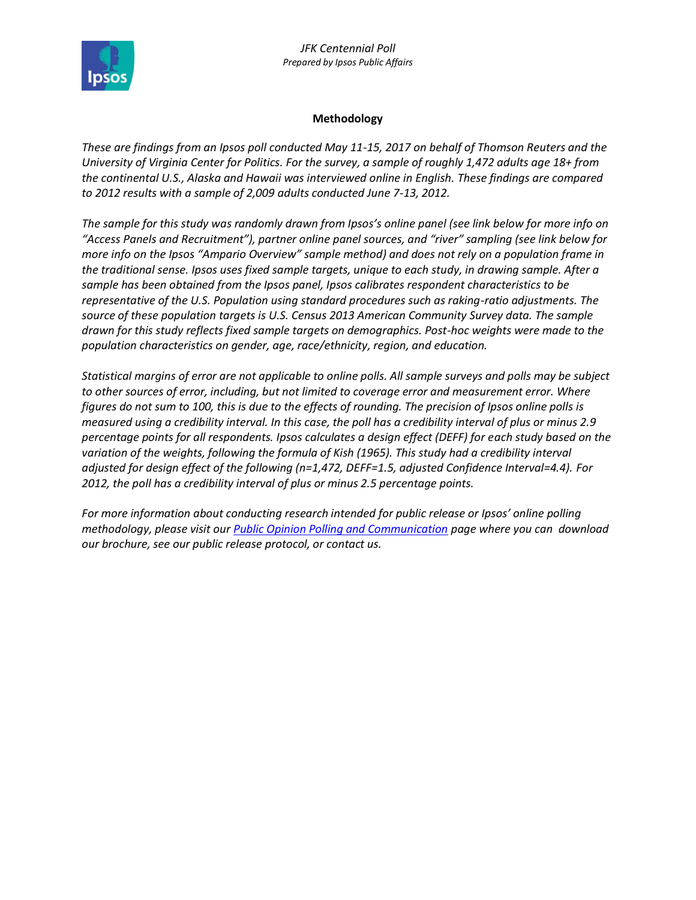

## **Methodology**

*These are findings from an Ipsos poll conducted May 11-15, 2017 on behalf of Thomson Reuters and the University of Virginia Center for Politics. For the survey, a sample of roughly 1,472 adults age 18+ from the continental U.S., Alaska and Hawaii was interviewed online in English. These findings are compared to 2012 results with a sample of 2,009 adults conducted June 7-13, 2012.* 

*The sample for this study was randomly drawn from Ipsos's online panel (see link below for more info on "Access Panels and Recruitment"), partner online panel sources, and "river" sampling (see link below for more info on the Ipsos "Ampario Overview" sample method) and does not rely on a population frame in the traditional sense. Ipsos uses fixed sample targets, unique to each study, in drawing sample. After a sample has been obtained from the Ipsos panel, Ipsos calibrates respondent characteristics to be representative of the U.S. Population using standard procedures such as raking-ratio adjustments. The source of these population targets is U.S. Census 2013 American Community Survey data. The sample drawn for this study reflects fixed sample targets on demographics. Post-hoc weights were made to the population characteristics on gender, age, race/ethnicity, region, and education.* 

*Statistical margins of error are not applicable to online polls. All sample surveys and polls may be subject to other sources of error, including, but not limited to coverage error and measurement error. Where figures do not sum to 100, this is due to the effects of rounding. The precision of Ipsos online polls is measured using a credibility interval. In this case, the poll has a credibility interval of plus or minus 2.9 percentage points for all respondents. Ipsos calculates a design effect (DEFF) for each study based on the variation of the weights, following the formula of Kish (1965). This study had a credibility interval adjusted for design effect of the following (n=1,472, DEFF=1.5, adjusted Confidence Interval=4.4). For 2012, the poll has a credibility interval of plus or minus 2.5 percentage points.* 

*For more information about conducting research intended for public release or Ipsos' online polling methodology, please visit our [Public Opinion Polling and Communication](https://www.ipsos.com/en-us/public-opinion-polling-and-communication-research) page where you can download our brochure, see our public release protocol, or contact us.*